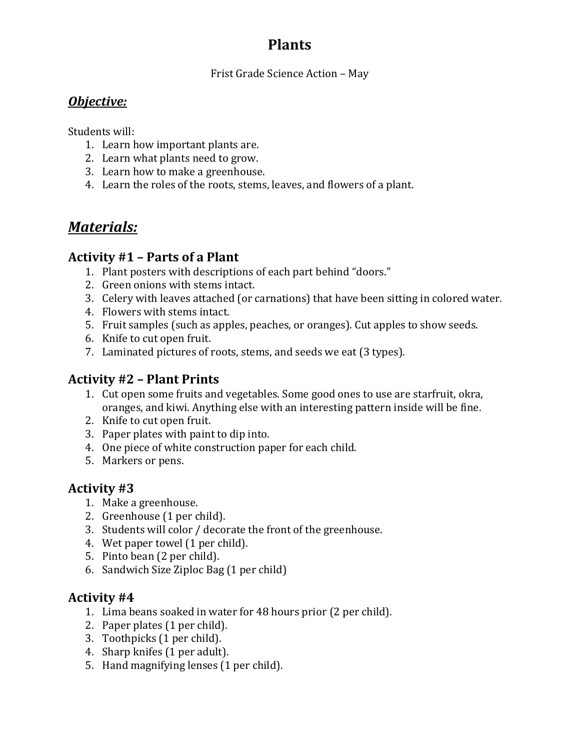# **Plants**

Frist Grade Science Action – May

### *Objective:*

Students will:

- 1. Learn how important plants are.
- 2. Learn what plants need to grow.
- 3. Learn how to make a greenhouse.
- 4. Learn the roles of the roots, stems, leaves, and flowers of a plant.

# *Materials:*

## **Activity #1 – Parts of a Plant**

- 1. Plant posters with descriptions of each part behind "doors."
- 2. Green onions with stems intact.
- 3. Celery with leaves attached (or carnations) that have been sitting in colored water.
- 4. Flowers with stems intact.
- 5. Fruit samples (such as apples, peaches, or oranges). Cut apples to show seeds.
- 6. Knife to cut open fruit.
- 7. Laminated pictures of roots, stems, and seeds we eat (3 types).

# **Activity #2 – Plant Prints**

- 1. Cut open some fruits and vegetables. Some good ones to use are starfruit, okra, oranges, and kiwi. Anything else with an interesting pattern inside will be fine.
- 2. Knife to cut open fruit.
- 3. Paper plates with paint to dip into.
- 4. One piece of white construction paper for each child.
- 5. Markers or pens.

## **Activity #3**

- 1. Make a greenhouse.
- 2. Greenhouse (1 per child).
- 3. Students will color / decorate the front of the greenhouse.
- 4. Wet paper towel (1 per child).
- 5. Pinto bean (2 per child).
- 6. Sandwich Size Ziploc Bag (1 per child)

### **Activity #4**

- 1. Lima beans soaked in water for 48 hours prior (2 per child).
- 2. Paper plates (1 per child).
- 3. Toothpicks (1 per child).
- 4. Sharp knifes (1 per adult).
- 5. Hand magnifying lenses (1 per child).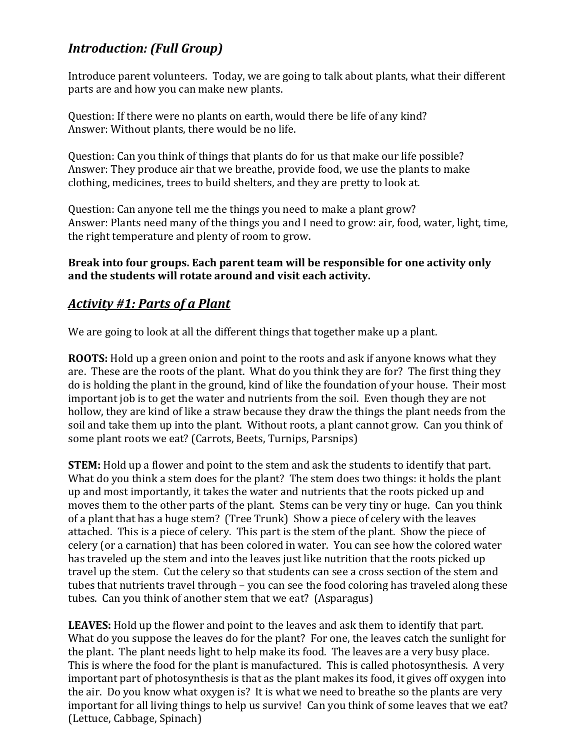# *Introduction: (Full Group)*

Introduce parent volunteers. Today, we are going to talk about plants, what their different parts are and how you can make new plants.

Question: If there were no plants on earth, would there be life of any kind? Answer: Without plants, there would be no life.

Question: Can you think of things that plants do for us that make our life possible? Answer: They produce air that we breathe, provide food, we use the plants to make clothing, medicines, trees to build shelters, and they are pretty to look at.

Question: Can anyone tell me the things you need to make a plant grow? Answer: Plants need many of the things you and I need to grow: air, food, water, light, time, the right temperature and plenty of room to grow.

#### **Break into four groups. Each parent team will be responsible for one activity only and the students will rotate around and visit each activity.**

## *Activity #1: Parts of a Plant*

We are going to look at all the different things that together make up a plant.

**ROOTS:** Hold up a green onion and point to the roots and ask if anyone knows what they are. These are the roots of the plant. What do you think they are for? The first thing they do is holding the plant in the ground, kind of like the foundation of your house. Their most important job is to get the water and nutrients from the soil. Even though they are not hollow, they are kind of like a straw because they draw the things the plant needs from the soil and take them up into the plant. Without roots, a plant cannot grow. Can you think of some plant roots we eat? (Carrots, Beets, Turnips, Parsnips)

**STEM:** Hold up a flower and point to the stem and ask the students to identify that part. What do you think a stem does for the plant? The stem does two things: it holds the plant up and most importantly, it takes the water and nutrients that the roots picked up and moves them to the other parts of the plant. Stems can be very tiny or huge. Can you think of a plant that has a huge stem? (Tree Trunk) Show a piece of celery with the leaves attached. This is a piece of celery. This part is the stem of the plant. Show the piece of celery (or a carnation) that has been colored in water. You can see how the colored water has traveled up the stem and into the leaves just like nutrition that the roots picked up travel up the stem. Cut the celery so that students can see a cross section of the stem and tubes that nutrients travel through – you can see the food coloring has traveled along these tubes. Can you think of another stem that we eat? (Asparagus)

**LEAVES:** Hold up the flower and point to the leaves and ask them to identify that part. What do you suppose the leaves do for the plant? For one, the leaves catch the sunlight for the plant. The plant needs light to help make its food. The leaves are a very busy place. This is where the food for the plant is manufactured. This is called photosynthesis. A very important part of photosynthesis is that as the plant makes its food, it gives off oxygen into the air. Do you know what oxygen is? It is what we need to breathe so the plants are very important for all living things to help us survive! Can you think of some leaves that we eat? (Lettuce, Cabbage, Spinach)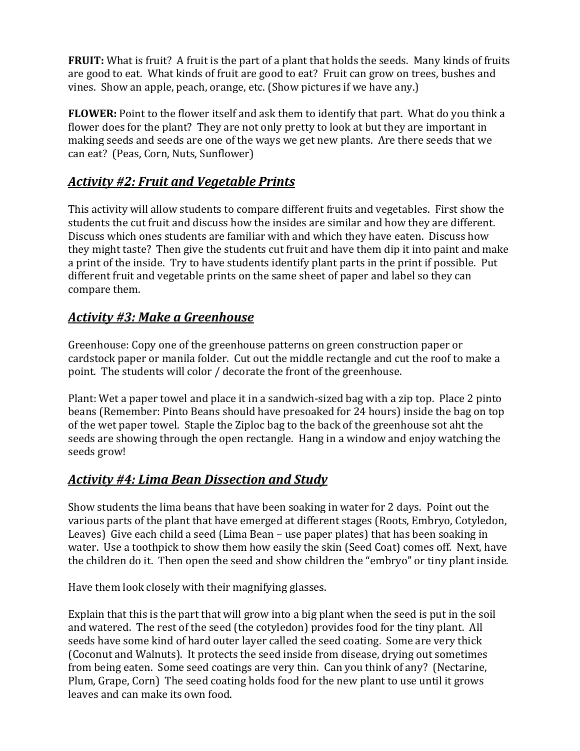**FRUIT:** What is fruit? A fruit is the part of a plant that holds the seeds. Many kinds of fruits are good to eat. What kinds of fruit are good to eat? Fruit can grow on trees, bushes and vines. Show an apple, peach, orange, etc. (Show pictures if we have any.)

**FLOWER:** Point to the flower itself and ask them to identify that part. What do you think a flower does for the plant? They are not only pretty to look at but they are important in making seeds and seeds are one of the ways we get new plants. Are there seeds that we can eat? (Peas, Corn, Nuts, Sunflower)

# *Activity #2: Fruit and Vegetable Prints*

This activity will allow students to compare different fruits and vegetables. First show the students the cut fruit and discuss how the insides are similar and how they are different. Discuss which ones students are familiar with and which they have eaten. Discuss how they might taste? Then give the students cut fruit and have them dip it into paint and make a print of the inside. Try to have students identify plant parts in the print if possible. Put different fruit and vegetable prints on the same sheet of paper and label so they can compare them.

# *Activity #3: Make a Greenhouse*

Greenhouse: Copy one of the greenhouse patterns on green construction paper or cardstock paper or manila folder. Cut out the middle rectangle and cut the roof to make a point. The students will color / decorate the front of the greenhouse.

Plant: Wet a paper towel and place it in a sandwich-sized bag with a zip top. Place 2 pinto beans (Remember: Pinto Beans should have presoaked for 24 hours) inside the bag on top of the wet paper towel. Staple the Ziploc bag to the back of the greenhouse sot aht the seeds are showing through the open rectangle. Hang in a window and enjoy watching the seeds grow!

## *Activity #4: Lima Bean Dissection and Study*

Show students the lima beans that have been soaking in water for 2 days. Point out the various parts of the plant that have emerged at different stages (Roots, Embryo, Cotyledon, Leaves) Give each child a seed (Lima Bean – use paper plates) that has been soaking in water. Use a toothpick to show them how easily the skin (Seed Coat) comes off. Next, have the children do it. Then open the seed and show children the "embryo" or tiny plant inside.

Have them look closely with their magnifying glasses.

Explain that this is the part that will grow into a big plant when the seed is put in the soil and watered. The rest of the seed (the cotyledon) provides food for the tiny plant. All seeds have some kind of hard outer layer called the seed coating. Some are very thick (Coconut and Walnuts). It protects the seed inside from disease, drying out sometimes from being eaten. Some seed coatings are very thin. Can you think of any? (Nectarine, Plum, Grape, Corn) The seed coating holds food for the new plant to use until it grows leaves and can make its own food.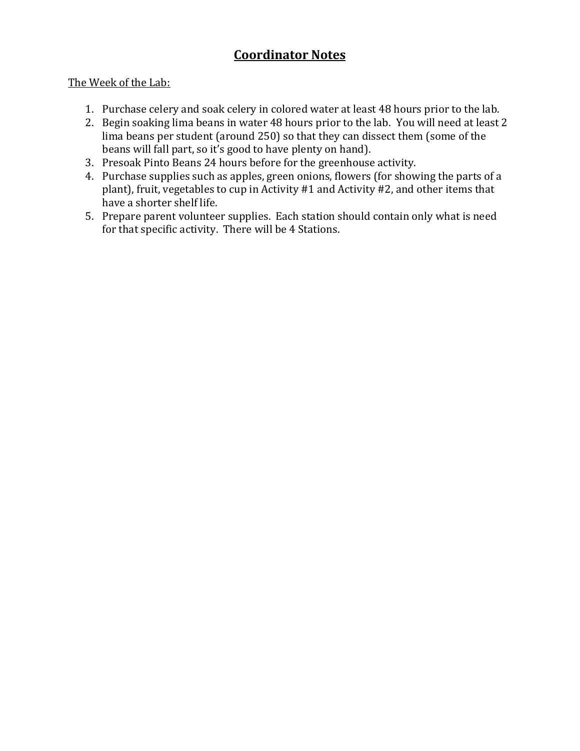# **Coordinator Notes**

#### The Week of the Lab:

- 1. Purchase celery and soak celery in colored water at least 48 hours prior to the lab.
- 2. Begin soaking lima beans in water 48 hours prior to the lab. You will need at least 2 lima beans per student (around 250) so that they can dissect them (some of the beans will fall part, so it's good to have plenty on hand).
- 3. Presoak Pinto Beans 24 hours before for the greenhouse activity.
- 4. Purchase supplies such as apples, green onions, flowers (for showing the parts of a plant), fruit, vegetables to cup in Activity #1 and Activity #2, and other items that have a shorter shelf life.
- 5. Prepare parent volunteer supplies. Each station should contain only what is need for that specific activity. There will be 4 Stations.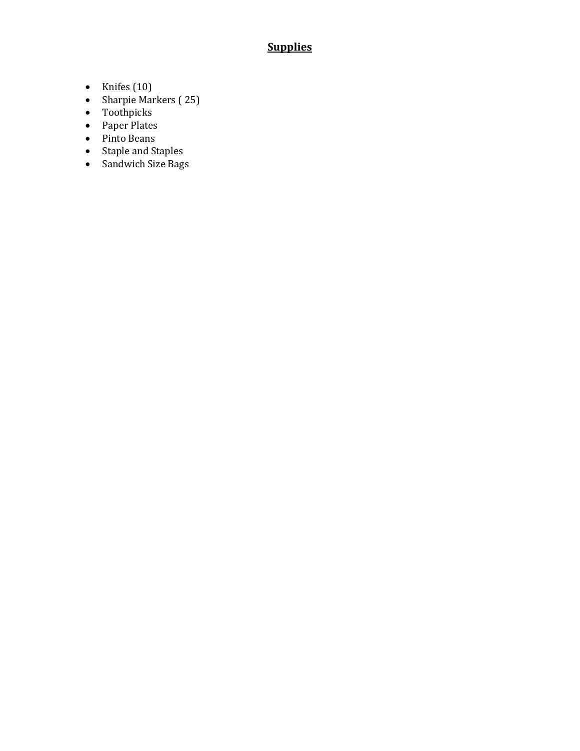# **Supplies**

- Knifes  $(10)$
- Sharpie Markers (25)
- Toothpicks
- Paper Plates
- Pinto Beans
- Staple and Staples
- Sandwich Size Bags